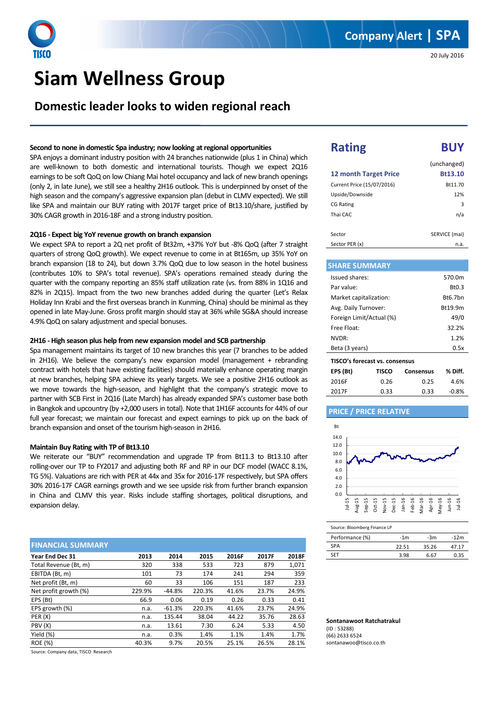# **Siam Wellness Group**

**Domestic leader looks to widen regional reach** 

### **Second to none in domestic Spa industry; now looking at regional opportunities**

SPA enjoys a dominant industry position with 24 branches nationwide (plus 1 in China) which are well-known to both domestic and international tourists. Though we expect 2Q16 earnings to be soft QoQ on low Chiang Mai hotel occupancy and lack of new branch openings (only 2, in late June), we still see a healthy 2H16 outlook. This is underpinned by onset of the high season and the company's aggressive expansion plan (debut in CLMV expected). We still like SPA and maintain our BUY rating with 2017F target price of Bt13.10/share, justified by 30% CAGR growth in 2016-18F and a strong industry position.

### **2Q16 - Expect big YoY revenue growth on branch expansion**

We expect SPA to report a 2Q net profit of Bt32m, +37% YoY but -8% QoQ (after 7 straight quarters of strong QoQ growth). We expect revenue to come in at Bt165m, up 35% YoY on branch expansion (18 to 24), but down 3.7% QoQ due to low season in the hotel business (contributes 10% to SPA's total revenue). SPA's operations remained steady during the quarter with the company reporting an 85% staff utilization rate (vs. from 88% in 1Q16 and 82% in 2Q15). Impact from the two new branches added during the quarter (Let's Relax Holiday Inn Krabi and the first overseas branch in Kunming, China) should be minimal as they opened in late May-June. Gross profit margin should stay at 36% while SG&A should increase 4.9% QoQ on salary adjustment and special bonuses.

### **2H16 - High season plus help from new expansion model and SCB partnership**

Spa management maintains its target of 10 new branches this year (7 branches to be added in 2H16). We believe the company's new expansion model (management + rebranding contract with hotels that have existing facilities) should materially enhance operating margin at new branches, helping SPA achieve its yearly targets. We see a positive 2H16 outlook as we move towards the high-season, and highlight that the company's strategic move to partner with SCB First in 2Q16 (Late March) has already expanded SPA's customer base both in Bangkok and upcountry (by +2,000 users in total). Note that 1H16F accounts for 44% of our full year forecast; we maintain our forecast and expect earnings to pick up on the back of branch expansion and onset of the tourism high-season in 2H16.

#### **Maintain Buy Rating with TP of Bt13.10**

We reiterate our "BUY" recommendation and upgrade TP from Bt11.3 to Bt13.10 after rolling-over our TP to FY2017 and adjusting both RF and RP in our DCF model (WACC 8.1%, TG 5%). Valuations are rich with PER at 44x and 35x for 2016-17F respectively, but SPA offers 30% 2016-17F CAGR earnings growth and we see upside risk from further branch expansion in China and CLMV this year. Risks include staffing shortages, political disruptions, and expansion delay.

| <b>FINANCIAL SUMMARY</b> |        |          |        |       |       |       |
|--------------------------|--------|----------|--------|-------|-------|-------|
| Year End Dec 31          | 2013   | 2014     | 2015   | 2016F | 2017F | 2018F |
| Total Revenue (Bt, m)    | 320    | 338      | 533    | 723   | 879   | 1,071 |
| EBITDA (Bt, m)           | 101    | 73       | 174    | 241   | 294   | 359   |
| Net profit (Bt, m)       | 60     | 33       | 106    | 151   | 187   | 233   |
| Net profit growth (%)    | 229.9% | $-44.8%$ | 220.3% | 41.6% | 23.7% | 24.9% |
| EPS (Bt)                 | 66.9   | 0.06     | 0.19   | 0.26  | 0.33  | 0.41  |
| EPS growth (%)           | n.a.   | $-61.3%$ | 220.3% | 41.6% | 23.7% | 24.9% |
| PER (X)                  | n.a.   | 135.44   | 38.04  | 44.22 | 35.76 | 28.63 |
| PBV (X)                  | n.a.   | 13.61    | 7.30   | 6.24  | 5.33  | 4.50  |
| Yield (%)                | n.a.   | 0.3%     | 1.4%   | 1.1%  | 1.4%  | 1.7%  |
| <b>ROE</b> (%)           | 40.3%  | 9.7%     | 20.5%  | 25.1% | 26.5% | 28.1% |

Source: Company data, TISCO Research

# **Rating BUY**

Ï

|                              | (unchanged)   |
|------------------------------|---------------|
| <b>12 month Target Price</b> | Bt13.10       |
| Current Price (15/07/2016)   | Bt11.70       |
| Upside/Downside              | 12%           |
| <b>CG Rating</b>             | 3             |
| Thai CAC                     | n/a           |
|                              |               |
| Sector                       | SERVICE (mai) |
| Sector PER (x)               | n.a.          |

## **SHARE SUMMARY**

| Issued shares:                 | 570.0m             |
|--------------------------------|--------------------|
| Par value:                     | B <sub>t</sub> 0.3 |
| Market capitalization:         | Bt6.7bn            |
| Avg. Daily Turnover:           | Bt19.9m            |
| Foreign Limit/Actual (%)       | 49/0               |
| Free Float:                    | 32.2%              |
| NVDR:                          | 1.2%               |
| Beta (3 years)                 | 0.5x               |
| TISCO's forecast vs. consensus |                    |

| EPS (Bt) | TISCO | <b>Consensus</b> | % Diff. |
|----------|-------|------------------|---------|
| 2016F    | 0.26  | 0.25             | 4.6%    |
| 2017F    | 0.33  | 0.33             | $-0.8%$ |

#### **PRICE / PRICE RELATIVE**



Source: Bloomberg Finance LP

| Performance (%) | $-1m$ | -3m   | $-12m$ |
|-----------------|-------|-------|--------|
| <b>SPA</b>      | 22.51 | 35.26 | 4717   |
| SFT             | 3.98  | 6.67  | በ 35   |

**Sontanawoot Ratchatrakul**  (ID : 53288) (66) 2633 6524 sontanawoo@tisco.co.th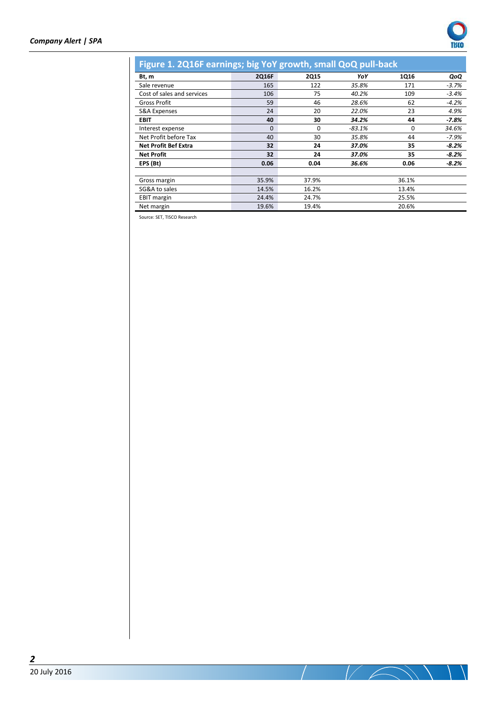

| Figure 1. 2Q16F earnings; big YoY growth, small QoQ pull-back |          |             |          |          |         |
|---------------------------------------------------------------|----------|-------------|----------|----------|---------|
| Bt, m                                                         | 2Q16F    | <b>2Q15</b> | YoY      | 1Q16     | QoQ     |
| Sale revenue                                                  | 165      | 122         | 35.8%    | 171      | $-3.7%$ |
| Cost of sales and services                                    | 106      | 75          | 40.2%    | 109      | $-3.4%$ |
| Gross Profit                                                  | 59       | 46          | 28.6%    | 62       | $-4.2%$ |
| <b>S&amp;A Expenses</b>                                       | 24       | 20          | 22.0%    | 23       | 4.9%    |
| <b>EBIT</b>                                                   | 40       | 30          | 34.2%    | 44       | $-7.8%$ |
| Interest expense                                              | $\Omega$ | $\Omega$    | $-83.1%$ | $\Omega$ | 34.6%   |
| Net Profit before Tax                                         | 40       | 30          | 35.8%    | 44       | $-7.9%$ |
| <b>Net Profit Bef Extra</b>                                   | 32       | 24          | 37.0%    | 35       | $-8.2%$ |
| <b>Net Profit</b>                                             | 32       | 24          | 37.0%    | 35       | $-8.2%$ |
| EPS (Bt)                                                      | 0.06     | 0.04        | 36.6%    | 0.06     | $-8.2%$ |
|                                                               |          |             |          |          |         |
| Gross margin                                                  | 35.9%    | 37.9%       |          | 36.1%    |         |
| SG&A to sales                                                 | 14.5%    | 16.2%       |          | 13.4%    |         |
| <b>EBIT</b> margin                                            | 24.4%    | 24.7%       |          | 25.5%    |         |
| Net margin                                                    | 19.6%    | 19.4%       |          | 20.6%    |         |

Source: SET, TISCO Research